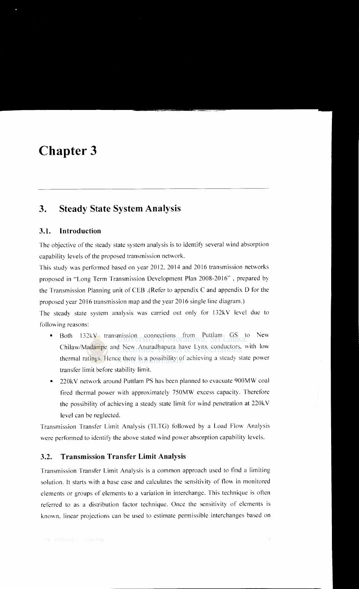# **Chapter 3**

# **3. Steady State System Analysis**

### **3.1. Introduction**

The objective of the steady state system analysis is to identify several wind absorption capability levels of the proposed transmission network.

This study was performed based on year 2012, 2014 and 2016 transmission networks proposed in "Long Term Transmission Development Plan 2008-2016", prepared by the Transmission Planning unit of CEB .(Refer to appendix C and appendix D for the proposed year 2016 transmission map and the year 2016 single line diagram.)

The steady state system analysis was carried out only for 132kV level due to following reasons:

- Both 132kV transmission connections from Puttlam GS to New Chilaw/Madampe and New Anuradhapura have Lynx conductors, with low thermal ratings. Hence there is a possibility of achieving a steady state power transfer limit before stability limit.
- 220kV network around Puttlam PS has been planned to evacuate 900MW coal fired thermal power with approximately 750MW excess capacity. Therefore the possibility of achieving a steady state limit for wind penetration at 220kV level can be neglected.

Transmission Transfer Limit Analysis (TL TG) followed by a Load Flow Analysis were performed to identify the above stated wind power absorption capability levels.

#### **3.2. Transmission Transfer Limit Analysis**

Transmission Transfer Limit Analysis is a common approach used to find a limiting solution. It starts with a base case and calculates the sensitivity of flow in monitored elements or groups of elements to a variation in interchange. This technique is often referred to as a distribution factor technique. Once the sensitivity of elements is known. linear projections can be used to estimate permissible interchanges based on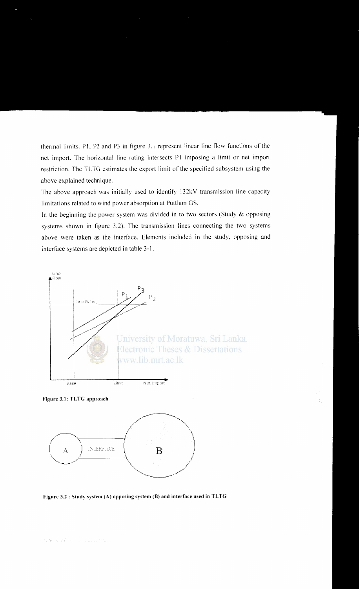thermal limits. P1, P2 and P3 in figure 3.1 represent linear line flow functions of the net import. The horizontal line rating intersects P1 imposing a limit or net import restriction. The TLTG estimates the export limit of the specified subsystem using the above explained technique.

The above approach was initially used to identify 132kV transmission line capacity limitations related to wind power absorption at Puttlam GS.

In the beginning the power system was divided in to two sectors (Study  $\&$  opposing systems shown in figure 3.2). The transmission lines connecting the two systems above were taken as the interface. Elements included in the study, opposing and interface systems are depicted in table 3-1.



Figure 3.1: TLTG approach



Figure 3.2 : Study system (A) opposing system (B) and interface used in TLTG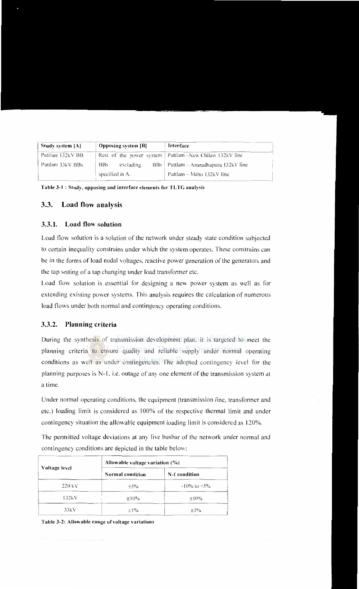| Study system [A] | <b>Opposing system [B]</b> | Interface                                                 |
|------------------|----------------------------|-----------------------------------------------------------|
| Puttlam 132kV BB |                            | Rest of the power system   Puttlam –New Chilaw 132kV line |
| Puttlam 33kV BBs | excluding<br><b>BBs</b>    | $BBs$ Puttlam – Anuradhapura 132kV line                   |
|                  | specified in A.            | Puttlam – Maho 132kV line                                 |

Table 3-1 : Study, opposing and interface elements for TLTG analysis

## 3.3. Load flow analysis

#### 3.3.1. Load flow solution

Load flow solution is a solution of the network under steady state condition subjected to certain inequality constrains under which the system operates. These constrains can be in the forms of load nodal voltages, reactive power generation of the generators and the tap setting of a tap changing under load transformer etc.

Load flow solution is essential for designing a new power system as well as for extending existing power systems. This analysis requires the calculation of numerous load flows under both normal and contingency operating conditions.

### 3.3.2. Planning criteria

During the synthesis of transmission development plan, it is targeted to meet the planning criteria to ensure quality and reliable supply under normal operating conditions as well as under contingencies. The adopted contingency level for the planning purposes is N-1, i.e. outage of any one element of the transmission system at a time.

Under normal operating conditions, the equipment (transmission line, transformer and etc.) loading limit is considered as 100% of the respective thermal limit and under contingency situation the allowable equipment loading limit is considered as 120%.

The permitted voltage deviations at any live busbar of the network under normal and contingency conditions are depicted in the table below:

| Voltage level | Allowable voltage variation $(\% )$ |                   |  |  |
|---------------|-------------------------------------|-------------------|--|--|
|               | <b>Normal</b> condition             | N-1 condition     |  |  |
| $220$ kV      | $\pm$ 5%                            | $-10\%$ to $+5\%$ |  |  |
| 132kV         | $\pm 10\%$                          | $\pm 10\%$        |  |  |
| 33kV          | $\pm 1\%$                           | $\pm 1\%$         |  |  |

|  | Table 3-2: Allowable range of voltage variations |  |  |  |
|--|--------------------------------------------------|--|--|--|
|--|--------------------------------------------------|--|--|--|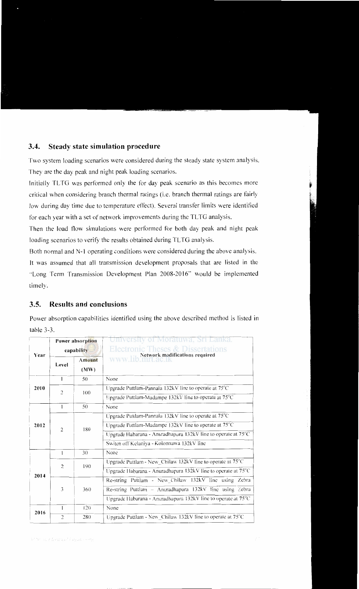#### **3.4. Steady state simulation procedure**

Two system loading scenarios were considered during the steady state system analysis. They are the day peak and night peak loading scenarios.

Initially TL TG was performed only the for day peak scenario as this becomes more critical when considering branch thermal ratings (i.e. branch thermal ratings are fairly low during day time due to temperature effect). Several transfer limits were identified for each year with a set of network improvements during the TLTG analysis.

Then the load flow simulations were performed for both day peak and night peak loading scenarios to verify the results obtained during TLTG analysis.

Both normal and N-1 operating conditions were considered during the above analysis.

It was assumed that all transmission development proposals that are listed in the "Long Term Transmission Development Plan 2008-2016" would be implemented timely.

### **3.5. Results and conclusions**

Power absorption capabilities identified using the above described method is listed in table 3-3.

| Power absorption<br>capability<br>Year |                                                    | University of Moratuwa, Sri Lanka.<br><b>Electronic Theses &amp; Dissertations</b> |  |  |
|----------------------------------------|----------------------------------------------------|------------------------------------------------------------------------------------|--|--|
| Level                                  | <b>Amount</b><br>(MW)                              | <b>WWW.lib.nimage.uk</b>                                                           |  |  |
| 1                                      | 50                                                 | None                                                                               |  |  |
| 2010                                   | 100                                                | Upgrade Puttlam-Pannala 132kV line to operate at 75°C                              |  |  |
|                                        |                                                    | Upgrade Puttlam-Madampe 132kV line to operate at 75°C                              |  |  |
| $\mathbf{1}$                           | 50                                                 | None                                                                               |  |  |
|                                        | 180                                                | Upgrade Puttlam-Pannala 132kV line to operate at 75°C                              |  |  |
|                                        |                                                    | Upgrade Puttlam-Madampe 132kV line to operate at 75°C                              |  |  |
|                                        |                                                    | Upgrade Habarana - Anuradhapura 132kV line to operate at 75°C                      |  |  |
|                                        |                                                    | Switch off Kelaniya - Kolonnawa 132kV line                                         |  |  |
| 1                                      | 30                                                 | None                                                                               |  |  |
|                                        | 190                                                | Upgrade Puttlam - New_Chilaw 132kV line to operate at 75°C                         |  |  |
| 2014                                   |                                                    | Upgrade Habarana - Anuradhapura $132kV$ line to operate at $75^{\circ}C$           |  |  |
|                                        |                                                    | Re-string Puttlam - New Chilaw 132kV line using Zebra                              |  |  |
| 3                                      | 360                                                | Re-string Puttlam - Anuradhapura 132kV line using Zebra                            |  |  |
|                                        |                                                    | Upgrade Habarana - Anuradhapura 132kV line to operate at 75°C                      |  |  |
|                                        | 120                                                | None                                                                               |  |  |
| $\overline{c}$                         | 280                                                | Upgrade Puttlam - New_Chilaw 132kV line to operate at 75°C                         |  |  |
|                                        | $\overline{c}$<br>$\overline{2}$<br>$\overline{2}$ |                                                                                    |  |  |